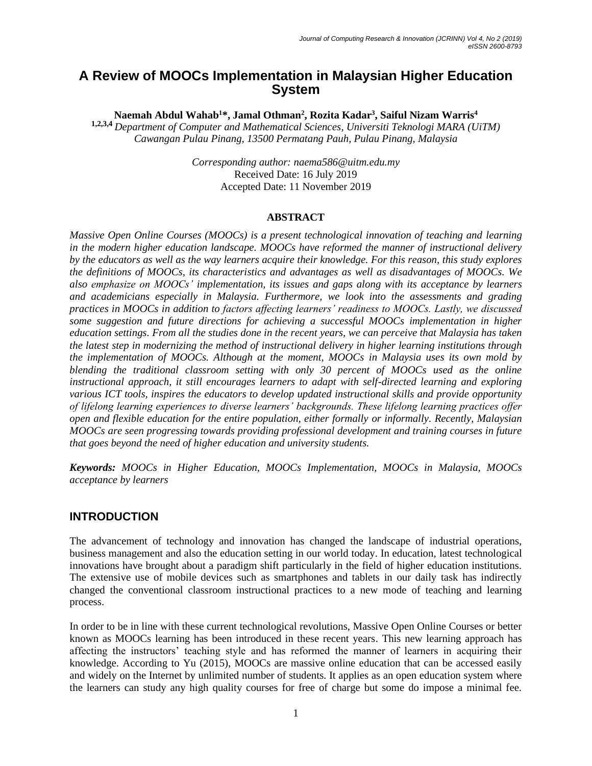# **A Review of MOOCs Implementation in Malaysian Higher Education System**

**Naemah Abdul Wahab<sup>1</sup>\*, Jamal Othman<sup>2</sup> , Rozita Kadar<sup>3</sup> , Saiful Nizam Warris<sup>4</sup>**

**1,2,3,4** *Department of Computer and Mathematical Sciences, Universiti Teknologi MARA (UiTM) Cawangan Pulau Pinang, 13500 Permatang Pauh, Pulau Pinang, Malaysia*

> *Corresponding author: naema586@uitm.edu.my* Received Date: 16 July 2019 Accepted Date: 11 November 2019

#### **ABSTRACT**

*Massive Open Online Courses (MOOCs) is a present technological innovation of teaching and learning in the modern higher education landscape. MOOCs have reformed the manner of instructional delivery by the educators as well as the way learners acquire their knowledge. For this reason, this study explores the definitions of MOOCs, its characteristics and advantages as well as disadvantages of MOOCs. We also emphasize on MOOCs' implementation, its issues and gaps along with its acceptance by learners and academicians especially in Malaysia. Furthermore, we look into the assessments and grading practices in MOOCs in addition to factors affecting learners' readiness to MOOCs. Lastly, we discussed some suggestion and future directions for achieving a successful MOOCs implementation in higher education settings. From all the studies done in the recent years, we can perceive that Malaysia has taken the latest step in modernizing the method of instructional delivery in higher learning institutions through the implementation of MOOCs. Although at the moment, MOOCs in Malaysia uses its own mold by blending the traditional classroom setting with only 30 percent of MOOCs used as the online instructional approach, it still encourages learners to adapt with self-directed learning and exploring various ICT tools, inspires the educators to develop updated instructional skills and provide opportunity of lifelong learning experiences to diverse learners' backgrounds. These lifelong learning practices offer open and flexible education for the entire population, either formally or informally. Recently, Malaysian MOOCs are seen progressing towards providing professional development and training courses in future that goes beyond the need of higher education and university students.*

*Keywords: MOOCs in Higher Education, MOOCs Implementation, MOOCs in Malaysia, MOOCs acceptance by learners*

## **INTRODUCTION**

The advancement of technology and innovation has changed the landscape of industrial operations, business management and also the education setting in our world today. In education, latest technological innovations have brought about a paradigm shift particularly in the field of higher education institutions. The extensive use of mobile devices such as smartphones and tablets in our daily task has indirectly changed the conventional classroom instructional practices to a new mode of teaching and learning process.

In order to be in line with these current technological revolutions, Massive Open Online Courses or better known as MOOCs learning has been introduced in these recent years. This new learning approach has affecting the instructors' teaching style and has reformed the manner of learners in acquiring their knowledge. According to Yu (2015), MOOCs are massive online education that can be accessed easily and widely on the Internet by unlimited number of students. It applies as an open education system where the learners can study any high quality courses for free of charge but some do impose a minimal fee.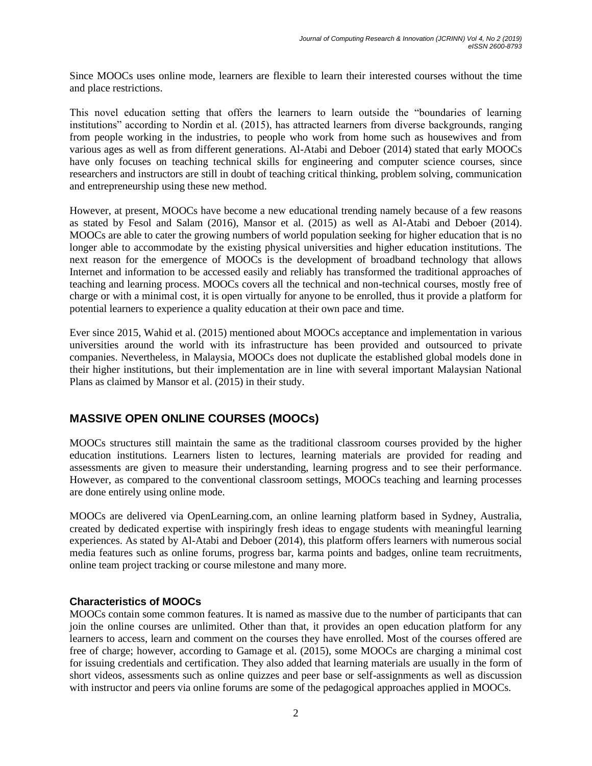Since MOOCs uses online mode, learners are flexible to learn their interested courses without the time and place restrictions.

This novel education setting that offers the learners to learn outside the "boundaries of learning institutions" according to Nordin et al. (2015), has attracted learners from diverse backgrounds, ranging from people working in the industries, to people who work from home such as housewives and from various ages as well as from different generations. Al-Atabi and Deboer (2014) stated that early MOOCs have only focuses on teaching technical skills for engineering and computer science courses, since researchers and instructors are still in doubt of teaching critical thinking, problem solving, communication and entrepreneurship using these new method.

However, at present, MOOCs have become a new educational trending namely because of a few reasons as stated by Fesol and Salam (2016), Mansor et al. (2015) as well as Al-Atabi and Deboer (2014). MOOCs are able to cater the growing numbers of world population seeking for higher education that is no longer able to accommodate by the existing physical universities and higher education institutions. The next reason for the emergence of MOOCs is the development of broadband technology that allows Internet and information to be accessed easily and reliably has transformed the traditional approaches of teaching and learning process. MOOCs covers all the technical and non-technical courses, mostly free of charge or with a minimal cost, it is open virtually for anyone to be enrolled, thus it provide a platform for potential learners to experience a quality education at their own pace and time.

Ever since 2015, Wahid et al. (2015) mentioned about MOOCs acceptance and implementation in various universities around the world with its infrastructure has been provided and outsourced to private companies. Nevertheless, in Malaysia, MOOCs does not duplicate the established global models done in their higher institutions, but their implementation are in line with several important Malaysian National Plans as claimed by Mansor et al. (2015) in their study.

## **MASSIVE OPEN ONLINE COURSES (MOOCs)**

MOOCs structures still maintain the same as the traditional classroom courses provided by the higher education institutions. Learners listen to lectures, learning materials are provided for reading and assessments are given to measure their understanding, learning progress and to see their performance. However, as compared to the conventional classroom settings, MOOCs teaching and learning processes are done entirely using online mode.

MOOCs are delivered via OpenLearning.com, an online learning platform based in Sydney, Australia, created by dedicated expertise with inspiringly fresh ideas to engage students with meaningful learning experiences. As stated by Al-Atabi and Deboer (2014), this platform offers learners with numerous social media features such as online forums, progress bar, karma points and badges, online team recruitments, online team project tracking or course milestone and many more.

#### **Characteristics of MOOCs**

MOOCs contain some common features. It is named as massive due to the number of participants that can join the online courses are unlimited. Other than that, it provides an open education platform for any learners to access, learn and comment on the courses they have enrolled. Most of the courses offered are free of charge; however, according to Gamage et al. (2015), some MOOCs are charging a minimal cost for issuing credentials and certification. They also added that learning materials are usually in the form of short videos, assessments such as online quizzes and peer base or self-assignments as well as discussion with instructor and peers via online forums are some of the pedagogical approaches applied in MOOCs.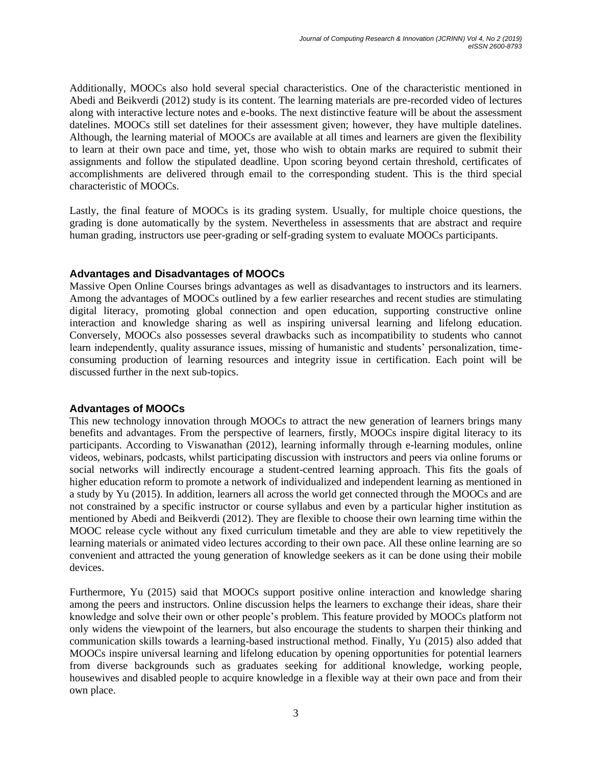Additionally, MOOCs also hold several special characteristics. One of the characteristic mentioned in Abedi and Beikverdi (2012) study is its content. The learning materials are pre-recorded video of lectures along with interactive lecture notes and e-books. The next distinctive feature will be about the assessment datelines. MOOCs still set datelines for their assessment given; however, they have multiple datelines. Although, the learning material of MOOCs are available at all times and learners are given the flexibility to learn at their own pace and time, yet, those who wish to obtain marks are required to submit their assignments and follow the stipulated deadline. Upon scoring beyond certain threshold, certificates of accomplishments are delivered through email to the corresponding student. This is the third special characteristic of MOOCs.

Lastly, the final feature of MOOCs is its grading system. Usually, for multiple choice questions, the grading is done automatically by the system. Nevertheless in assessments that are abstract and require human grading, instructors use peer-grading or self-grading system to evaluate MOOCs participants.

#### **Advantages and Disadvantages of MOOCs**

Massive Open Online Courses brings advantages as well as disadvantages to instructors and its learners. Among the advantages of MOOCs outlined by a few earlier researches and recent studies are stimulating digital literacy, promoting global connection and open education, supporting constructive online interaction and knowledge sharing as well as inspiring universal learning and lifelong education. Conversely, MOOCs also possesses several drawbacks such as incompatibility to students who cannot learn independently, quality assurance issues, missing of humanistic and students' personalization, timeconsuming production of learning resources and integrity issue in certification. Each point will be discussed further in the next sub-topics.

#### **Advantages of MOOCs**

This new technology innovation through MOOCs to attract the new generation of learners brings many benefits and advantages. From the perspective of learners, firstly, MOOCs inspire digital literacy to its participants. According to Viswanathan (2012), learning informally through e-learning modules, online videos, webinars, podcasts, whilst participating discussion with instructors and peers via online forums or social networks will indirectly encourage a student-centred learning approach. This fits the goals of higher education reform to promote a network of individualized and independent learning as mentioned in a study by Yu (2015). In addition, learners all across the world get connected through the MOOCs and are not constrained by a specific instructor or course syllabus and even by a particular higher institution as mentioned by Abedi and Beikverdi (2012). They are flexible to choose their own learning time within the MOOC release cycle without any fixed curriculum timetable and they are able to view repetitively the learning materials or animated video lectures according to their own pace. All these online learning are so convenient and attracted the young generation of knowledge seekers as it can be done using their mobile devices.

Furthermore, Yu (2015) said that MOOCs support positive online interaction and knowledge sharing among the peers and instructors. Online discussion helps the learners to exchange their ideas, share their knowledge and solve their own or other people's problem. This feature provided by MOOCs platform not only widens the viewpoint of the learners, but also encourage the students to sharpen their thinking and communication skills towards a learning-based instructional method. Finally, Yu (2015) also added that MOOCs inspire universal learning and lifelong education by opening opportunities for potential learners from diverse backgrounds such as graduates seeking for additional knowledge, working people, housewives and disabled people to acquire knowledge in a flexible way at their own pace and from their own place.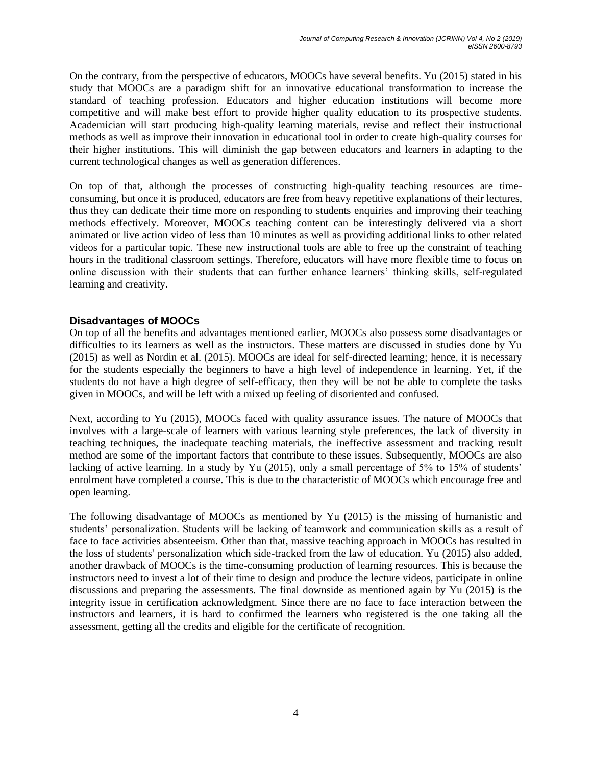On the contrary, from the perspective of educators, MOOCs have several benefits. Yu (2015) stated in his study that MOOCs are a paradigm shift for an innovative educational transformation to increase the standard of teaching profession. Educators and higher education institutions will become more competitive and will make best effort to provide higher quality education to its prospective students. Academician will start producing high-quality learning materials, revise and reflect their instructional methods as well as improve their innovation in educational tool in order to create high-quality courses for their higher institutions. This will diminish the gap between educators and learners in adapting to the current technological changes as well as generation differences.

On top of that, although the processes of constructing high-quality teaching resources are timeconsuming, but once it is produced, educators are free from heavy repetitive explanations of their lectures, thus they can dedicate their time more on responding to students enquiries and improving their teaching methods effectively. Moreover, MOOCs teaching content can be interestingly delivered via a short animated or live action video of less than 10 minutes as well as providing additional links to other related videos for a particular topic. These new instructional tools are able to free up the constraint of teaching hours in the traditional classroom settings. Therefore, educators will have more flexible time to focus on online discussion with their students that can further enhance learners' thinking skills, self-regulated learning and creativity.

### **Disadvantages of MOOCs**

On top of all the benefits and advantages mentioned earlier, MOOCs also possess some disadvantages or difficulties to its learners as well as the instructors. These matters are discussed in studies done by Yu (2015) as well as Nordin et al. (2015). MOOCs are ideal for self-directed learning; hence, it is necessary for the students especially the beginners to have a high level of independence in learning. Yet, if the students do not have a high degree of self-efficacy, then they will be not be able to complete the tasks given in MOOCs, and will be left with a mixed up feeling of disoriented and confused.

Next, according to Yu (2015), MOOCs faced with quality assurance issues. The nature of MOOCs that involves with a large-scale of learners with various learning style preferences, the lack of diversity in teaching techniques, the inadequate teaching materials, the ineffective assessment and tracking result method are some of the important factors that contribute to these issues. Subsequently, MOOCs are also lacking of active learning. In a study by Yu (2015), only a small percentage of 5% to 15% of students' enrolment have completed a course. This is due to the characteristic of MOOCs which encourage free and open learning.

The following disadvantage of MOOCs as mentioned by Yu (2015) is the missing of humanistic and students' personalization. Students will be lacking of teamwork and communication skills as a result of face to face activities absenteeism. Other than that, massive teaching approach in MOOCs has resulted in the loss of students' personalization which side-tracked from the law of education. Yu (2015) also added, another drawback of MOOCs is the time-consuming production of learning resources. This is because the instructors need to invest a lot of their time to design and produce the lecture videos, participate in online discussions and preparing the assessments. The final downside as mentioned again by Yu (2015) is the integrity issue in certification acknowledgment. Since there are no face to face interaction between the instructors and learners, it is hard to confirmed the learners who registered is the one taking all the assessment, getting all the credits and eligible for the certificate of recognition.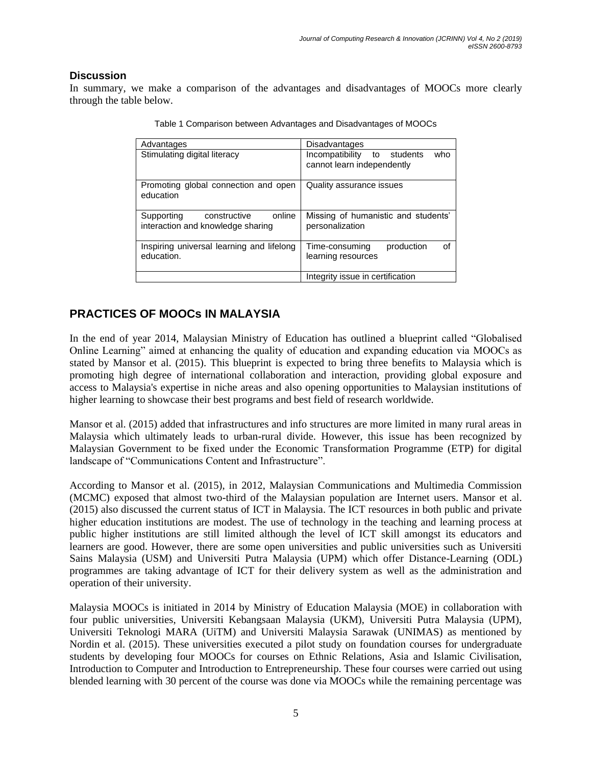## **Discussion**

In summary, we make a comparison of the advantages and disadvantages of MOOCs more clearly through the table below.

| Advantages                                                                | Disadvantages                                                    |
|---------------------------------------------------------------------------|------------------------------------------------------------------|
| Stimulating digital literacy                                              | Incompatibility to students<br>who<br>cannot learn independently |
| Promoting global connection and open<br>education                         | Quality assurance issues                                         |
| online<br>constructive<br>Supporting<br>interaction and knowledge sharing | Missing of humanistic and students'<br>personalization           |
| Inspiring universal learning and lifelong<br>education.                   | production<br>Time-consuming<br>∩f<br>learning resources         |
|                                                                           | Integrity issue in certification                                 |

Table 1 Comparison between Advantages and Disadvantages of MOOCs

# **PRACTICES OF MOOCs IN MALAYSIA**

In the end of year 2014, Malaysian Ministry of Education has outlined a blueprint called "Globalised Online Learning" aimed at enhancing the quality of education and expanding education via MOOCs as stated by Mansor et al. (2015). This blueprint is expected to bring three benefits to Malaysia which is promoting high degree of international collaboration and interaction, providing global exposure and access to Malaysia's expertise in niche areas and also opening opportunities to Malaysian institutions of higher learning to showcase their best programs and best field of research worldwide.

Mansor et al. (2015) added that infrastructures and info structures are more limited in many rural areas in Malaysia which ultimately leads to urban-rural divide. However, this issue has been recognized by Malaysian Government to be fixed under the Economic Transformation Programme (ETP) for digital landscape of "Communications Content and Infrastructure".

According to Mansor et al. (2015), in 2012, Malaysian Communications and Multimedia Commission (MCMC) exposed that almost two-third of the Malaysian population are Internet users. Mansor et al. (2015) also discussed the current status of ICT in Malaysia. The ICT resources in both public and private higher education institutions are modest. The use of technology in the teaching and learning process at public higher institutions are still limited although the level of ICT skill amongst its educators and learners are good. However, there are some open universities and public universities such as Universiti Sains Malaysia (USM) and Universiti Putra Malaysia (UPM) which offer Distance-Learning (ODL) programmes are taking advantage of ICT for their delivery system as well as the administration and operation of their university.

Malaysia MOOCs is initiated in 2014 by Ministry of Education Malaysia (MOE) in collaboration with four public universities, Universiti Kebangsaan Malaysia (UKM), Universiti Putra Malaysia (UPM), Universiti Teknologi MARA (UiTM) and Universiti Malaysia Sarawak (UNIMAS) as mentioned by Nordin et al. (2015). These universities executed a pilot study on foundation courses for undergraduate students by developing four MOOCs for courses on Ethnic Relations, Asia and Islamic Civilisation, Introduction to Computer and Introduction to Entrepreneurship. These four courses were carried out using blended learning with 30 percent of the course was done via MOOCs while the remaining percentage was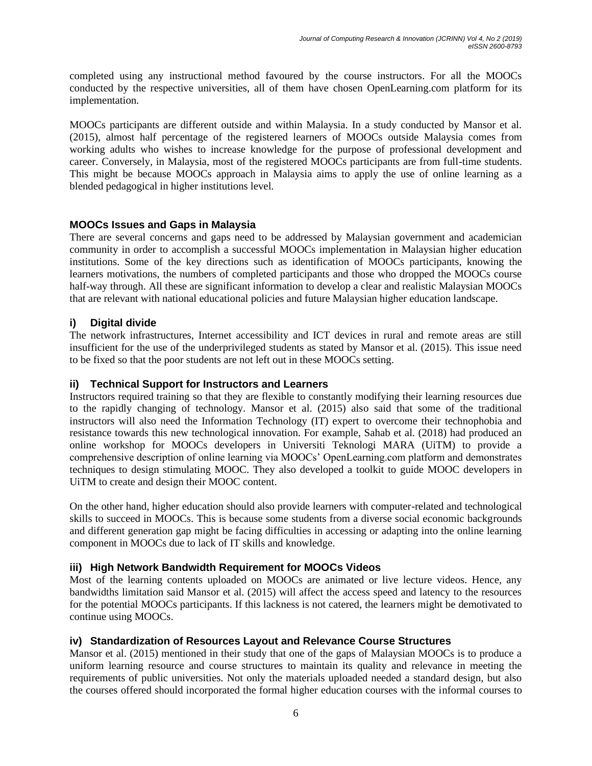completed using any instructional method favoured by the course instructors. For all the MOOCs conducted by the respective universities, all of them have chosen OpenLearning.com platform for its implementation.

MOOCs participants are different outside and within Malaysia. In a study conducted by Mansor et al. (2015), almost half percentage of the registered learners of MOOCs outside Malaysia comes from working adults who wishes to increase knowledge for the purpose of professional development and career. Conversely, in Malaysia, most of the registered MOOCs participants are from full-time students. This might be because MOOCs approach in Malaysia aims to apply the use of online learning as a blended pedagogical in higher institutions level.

### **MOOCs Issues and Gaps in Malaysia**

There are several concerns and gaps need to be addressed by Malaysian government and academician community in order to accomplish a successful MOOCs implementation in Malaysian higher education institutions. Some of the key directions such as identification of MOOCs participants, knowing the learners motivations, the numbers of completed participants and those who dropped the MOOCs course half-way through. All these are significant information to develop a clear and realistic Malaysian MOOCs that are relevant with national educational policies and future Malaysian higher education landscape.

## **i) Digital divide**

The network infrastructures, Internet accessibility and ICT devices in rural and remote areas are still insufficient for the use of the underprivileged students as stated by Mansor et al. (2015). This issue need to be fixed so that the poor students are not left out in these MOOCs setting.

#### **ii) Technical Support for Instructors and Learners**

Instructors required training so that they are flexible to constantly modifying their learning resources due to the rapidly changing of technology. Mansor et al. (2015) also said that some of the traditional instructors will also need the Information Technology (IT) expert to overcome their technophobia and resistance towards this new technological innovation. For example, Sahab et al. (2018) had produced an online workshop for MOOCs developers in Universiti Teknologi MARA (UiTM) to provide a comprehensive description of online learning via MOOCs' OpenLearning.com platform and demonstrates techniques to design stimulating MOOC. They also developed a toolkit to guide MOOC developers in UiTM to create and design their MOOC content.

On the other hand, higher education should also provide learners with computer-related and technological skills to succeed in MOOCs. This is because some students from a diverse social economic backgrounds and different generation gap might be facing difficulties in accessing or adapting into the online learning component in MOOCs due to lack of IT skills and knowledge.

#### **iii) High Network Bandwidth Requirement for MOOCs Videos**

Most of the learning contents uploaded on MOOCs are animated or live lecture videos. Hence, any bandwidths limitation said Mansor et al. (2015) will affect the access speed and latency to the resources for the potential MOOCs participants. If this lackness is not catered, the learners might be demotivated to continue using MOOCs.

#### **iv) Standardization of Resources Layout and Relevance Course Structures**

Mansor et al. (2015) mentioned in their study that one of the gaps of Malaysian MOOCs is to produce a uniform learning resource and course structures to maintain its quality and relevance in meeting the requirements of public universities. Not only the materials uploaded needed a standard design, but also the courses offered should incorporated the formal higher education courses with the informal courses to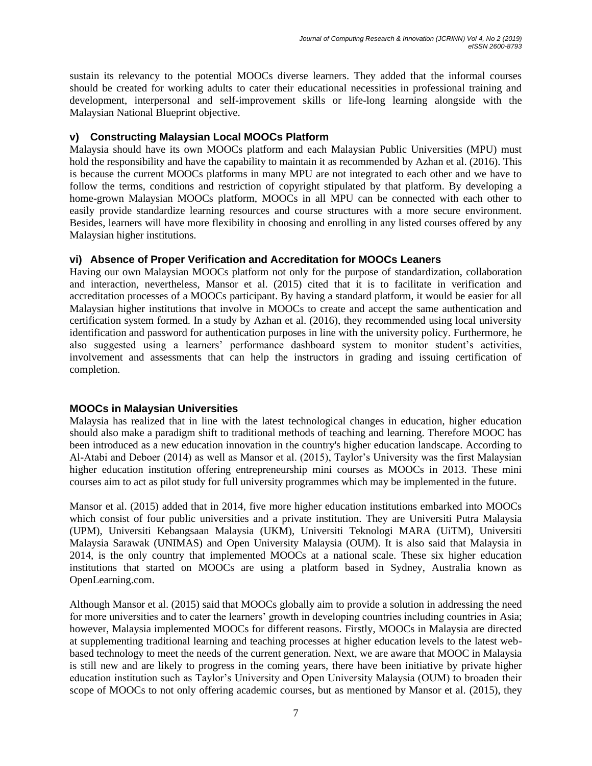sustain its relevancy to the potential MOOCs diverse learners. They added that the informal courses should be created for working adults to cater their educational necessities in professional training and development, interpersonal and self-improvement skills or life-long learning alongside with the Malaysian National Blueprint objective.

#### **v) Constructing Malaysian Local MOOCs Platform**

Malaysia should have its own MOOCs platform and each Malaysian Public Universities (MPU) must hold the responsibility and have the capability to maintain it as recommended by Azhan et al. (2016). This is because the current MOOCs platforms in many MPU are not integrated to each other and we have to follow the terms, conditions and restriction of copyright stipulated by that platform. By developing a home-grown Malaysian MOOCs platform, MOOCs in all MPU can be connected with each other to easily provide standardize learning resources and course structures with a more secure environment. Besides, learners will have more flexibility in choosing and enrolling in any listed courses offered by any Malaysian higher institutions.

### **vi) Absence of Proper Verification and Accreditation for MOOCs Leaners**

Having our own Malaysian MOOCs platform not only for the purpose of standardization, collaboration and interaction, nevertheless, Mansor et al. (2015) cited that it is to facilitate in verification and accreditation processes of a MOOCs participant. By having a standard platform, it would be easier for all Malaysian higher institutions that involve in MOOCs to create and accept the same authentication and certification system formed. In a study by Azhan et al. (2016), they recommended using local university identification and password for authentication purposes in line with the university policy. Furthermore, he also suggested using a learners' performance dashboard system to monitor student's activities, involvement and assessments that can help the instructors in grading and issuing certification of completion.

#### **MOOCs in Malaysian Universities**

Malaysia has realized that in line with the latest technological changes in education, higher education should also make a paradigm shift to traditional methods of teaching and learning. Therefore MOOC has been introduced as a new education innovation in the country's higher education landscape. According to Al-Atabi and Deboer (2014) as well as Mansor et al. (2015), Taylor's University was the first Malaysian higher education institution offering entrepreneurship mini courses as MOOCs in 2013. These mini courses aim to act as pilot study for full university programmes which may be implemented in the future.

Mansor et al. (2015) added that in 2014, five more higher education institutions embarked into MOOCs which consist of four public universities and a private institution. They are Universiti Putra Malaysia (UPM), Universiti Kebangsaan Malaysia (UKM), Universiti Teknologi MARA (UiTM), Universiti Malaysia Sarawak (UNIMAS) and Open University Malaysia (OUM). It is also said that Malaysia in 2014, is the only country that implemented MOOCs at a national scale. These six higher education institutions that started on MOOCs are using a platform based in Sydney, Australia known as OpenLearning.com.

Although Mansor et al. (2015) said that MOOCs globally aim to provide a solution in addressing the need for more universities and to cater the learners' growth in developing countries including countries in Asia; however, Malaysia implemented MOOCs for different reasons. Firstly, MOOCs in Malaysia are directed at supplementing traditional learning and teaching processes at higher education levels to the latest webbased technology to meet the needs of the current generation. Next, we are aware that MOOC in Malaysia is still new and are likely to progress in the coming years, there have been initiative by private higher education institution such as Taylor's University and Open University Malaysia (OUM) to broaden their scope of MOOCs to not only offering academic courses, but as mentioned by Mansor et al. (2015), they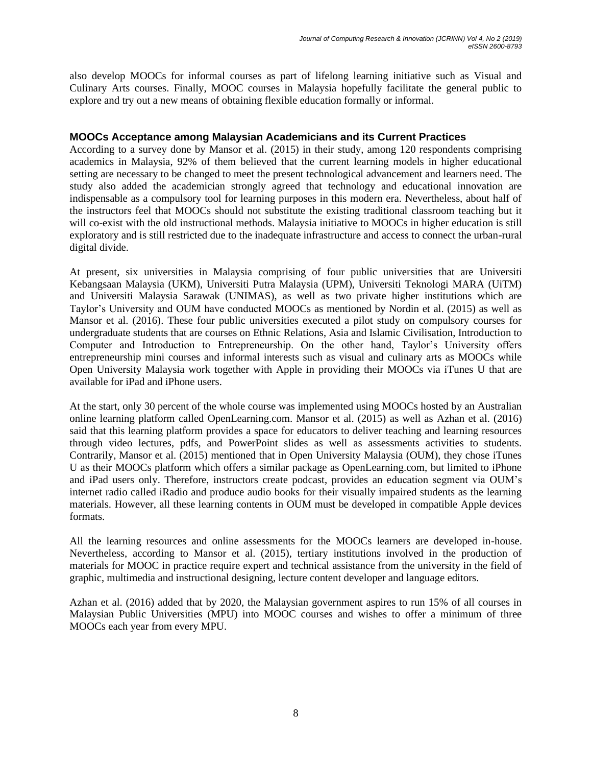also develop MOOCs for informal courses as part of lifelong learning initiative such as Visual and Culinary Arts courses. Finally, MOOC courses in Malaysia hopefully facilitate the general public to explore and try out a new means of obtaining flexible education formally or informal.

#### **MOOCs Acceptance among Malaysian Academicians and its Current Practices**

According to a survey done by Mansor et al. (2015) in their study, among 120 respondents comprising academics in Malaysia, 92% of them believed that the current learning models in higher educational setting are necessary to be changed to meet the present technological advancement and learners need. The study also added the academician strongly agreed that technology and educational innovation are indispensable as a compulsory tool for learning purposes in this modern era. Nevertheless, about half of the instructors feel that MOOCs should not substitute the existing traditional classroom teaching but it will co-exist with the old instructional methods. Malaysia initiative to MOOCs in higher education is still exploratory and is still restricted due to the inadequate infrastructure and access to connect the urban-rural digital divide.

At present, six universities in Malaysia comprising of four public universities that are Universiti Kebangsaan Malaysia (UKM), Universiti Putra Malaysia (UPM), Universiti Teknologi MARA (UiTM) and Universiti Malaysia Sarawak (UNIMAS), as well as two private higher institutions which are Taylor's University and OUM have conducted MOOCs as mentioned by Nordin et al. (2015) as well as Mansor et al. (2016). These four public universities executed a pilot study on compulsory courses for undergraduate students that are courses on Ethnic Relations, Asia and Islamic Civilisation, Introduction to Computer and Introduction to Entrepreneurship. On the other hand, Taylor's University offers entrepreneurship mini courses and informal interests such as visual and culinary arts as MOOCs while Open University Malaysia work together with Apple in providing their MOOCs via iTunes U that are available for iPad and iPhone users.

At the start, only 30 percent of the whole course was implemented using MOOCs hosted by an Australian online learning platform called OpenLearning.com. Mansor et al. (2015) as well as Azhan et al. (2016) said that this learning platform provides a space for educators to deliver teaching and learning resources through video lectures, pdfs, and PowerPoint slides as well as assessments activities to students. Contrarily, Mansor et al. (2015) mentioned that in Open University Malaysia (OUM), they chose iTunes U as their MOOCs platform which offers a similar package as OpenLearning.com, but limited to iPhone and iPad users only. Therefore, instructors create podcast, provides an education segment via OUM's internet radio called iRadio and produce audio books for their visually impaired students as the learning materials. However, all these learning contents in OUM must be developed in compatible Apple devices formats.

All the learning resources and online assessments for the MOOCs learners are developed in-house. Nevertheless, according to Mansor et al. (2015), tertiary institutions involved in the production of materials for MOOC in practice require expert and technical assistance from the university in the field of graphic, multimedia and instructional designing, lecture content developer and language editors.

Azhan et al. (2016) added that by 2020, the Malaysian government aspires to run 15% of all courses in Malaysian Public Universities (MPU) into MOOC courses and wishes to offer a minimum of three MOOCs each year from every MPU.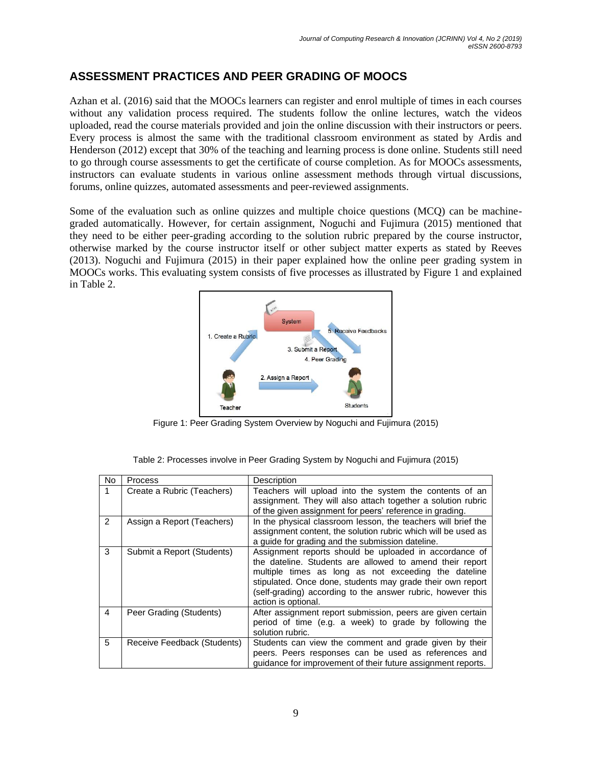# **ASSESSMENT PRACTICES AND PEER GRADING OF MOOCS**

Azhan et al. (2016) said that the MOOCs learners can register and enrol multiple of times in each courses without any validation process required. The students follow the online lectures, watch the videos uploaded, read the course materials provided and join the online discussion with their instructors or peers. Every process is almost the same with the traditional classroom environment as stated by Ardis and Henderson (2012) except that 30% of the teaching and learning process is done online. Students still need to go through course assessments to get the certificate of course completion. As for MOOCs assessments, instructors can evaluate students in various online assessment methods through virtual discussions, forums, online quizzes, automated assessments and peer-reviewed assignments.

Some of the evaluation such as online quizzes and multiple choice questions (MCQ) can be machinegraded automatically. However, for certain assignment, Noguchi and Fujimura (2015) mentioned that they need to be either peer-grading according to the solution rubric prepared by the course instructor, otherwise marked by the course instructor itself or other subject matter experts as stated by Reeves (2013). Noguchi and Fujimura (2015) in their paper explained how the online peer grading system in MOOCs works. This evaluating system consists of five processes as illustrated by Figure 1 and explained in Table 2.



Figure 1: Peer Grading System Overview by Noguchi and Fujimura (2015)

| <b>No</b>     | Process                     | Description                                                                                                                                                                                                                                                                                                                    |  |
|---------------|-----------------------------|--------------------------------------------------------------------------------------------------------------------------------------------------------------------------------------------------------------------------------------------------------------------------------------------------------------------------------|--|
|               | Create a Rubric (Teachers)  | Teachers will upload into the system the contents of an<br>assignment. They will also attach together a solution rubric<br>of the given assignment for peers' reference in grading.                                                                                                                                            |  |
| $\mathcal{P}$ | Assign a Report (Teachers)  | In the physical classroom lesson, the teachers will brief the<br>assignment content, the solution rubric which will be used as<br>a guide for grading and the submission dateline.                                                                                                                                             |  |
| 3             | Submit a Report (Students)  | Assignment reports should be uploaded in accordance of<br>the dateline. Students are allowed to amend their report<br>multiple times as long as not exceeding the dateline<br>stipulated. Once done, students may grade their own report<br>(self-grading) according to the answer rubric, however this<br>action is optional. |  |
| 4             | Peer Grading (Students)     | After assignment report submission, peers are given certain<br>period of time (e.g. a week) to grade by following the<br>solution rubric.                                                                                                                                                                                      |  |
| 5             | Receive Feedback (Students) | Students can view the comment and grade given by their<br>peers. Peers responses can be used as references and<br>quidance for improvement of their future assignment reports.                                                                                                                                                 |  |

| Table 2: Processes involve in Peer Grading System by Noguchi and Fujimura (2015) |  |  |
|----------------------------------------------------------------------------------|--|--|
|----------------------------------------------------------------------------------|--|--|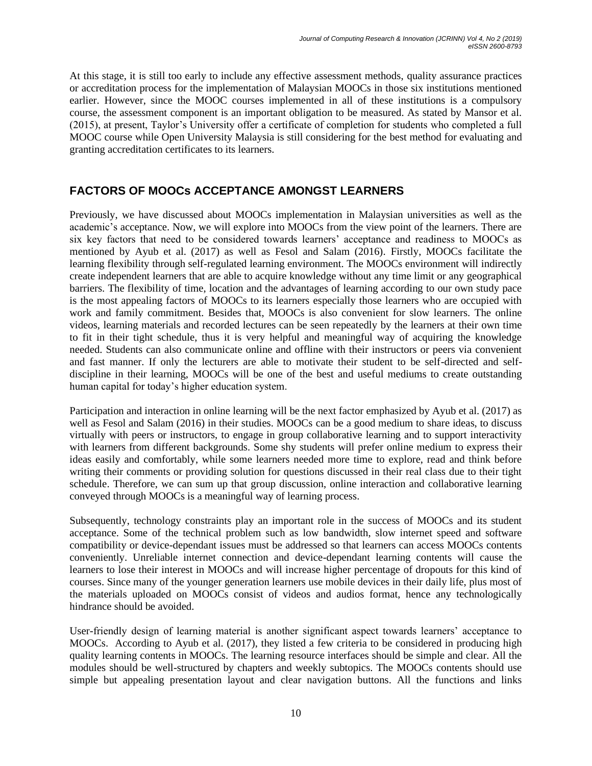At this stage, it is still too early to include any effective assessment methods, quality assurance practices or accreditation process for the implementation of Malaysian MOOCs in those six institutions mentioned earlier. However, since the MOOC courses implemented in all of these institutions is a compulsory course, the assessment component is an important obligation to be measured. As stated by Mansor et al. (2015), at present, Taylor's University offer a certificate of completion for students who completed a full MOOC course while Open University Malaysia is still considering for the best method for evaluating and granting accreditation certificates to its learners.

## **FACTORS OF MOOCs ACCEPTANCE AMONGST LEARNERS**

Previously, we have discussed about MOOCs implementation in Malaysian universities as well as the academic's acceptance. Now, we will explore into MOOCs from the view point of the learners. There are six key factors that need to be considered towards learners' acceptance and readiness to MOOCs as mentioned by Ayub et al. (2017) as well as Fesol and Salam (2016). Firstly, MOOCs facilitate the learning flexibility through self-regulated learning environment. The MOOCs environment will indirectly create independent learners that are able to acquire knowledge without any time limit or any geographical barriers. The flexibility of time, location and the advantages of learning according to our own study pace is the most appealing factors of MOOCs to its learners especially those learners who are occupied with work and family commitment. Besides that, MOOCs is also convenient for slow learners. The online videos, learning materials and recorded lectures can be seen repeatedly by the learners at their own time to fit in their tight schedule, thus it is very helpful and meaningful way of acquiring the knowledge needed. Students can also communicate online and offline with their instructors or peers via convenient and fast manner. If only the lecturers are able to motivate their student to be self-directed and selfdiscipline in their learning, MOOCs will be one of the best and useful mediums to create outstanding human capital for today's higher education system.

Participation and interaction in online learning will be the next factor emphasized by Ayub et al. (2017) as well as Fesol and Salam (2016) in their studies. MOOCs can be a good medium to share ideas, to discuss virtually with peers or instructors, to engage in group collaborative learning and to support interactivity with learners from different backgrounds. Some shy students will prefer online medium to express their ideas easily and comfortably, while some learners needed more time to explore, read and think before writing their comments or providing solution for questions discussed in their real class due to their tight schedule. Therefore, we can sum up that group discussion, online interaction and collaborative learning conveyed through MOOCs is a meaningful way of learning process.

Subsequently, technology constraints play an important role in the success of MOOCs and its student acceptance. Some of the technical problem such as low bandwidth, slow internet speed and software compatibility or device-dependant issues must be addressed so that learners can access MOOCs contents conveniently. Unreliable internet connection and device-dependant learning contents will cause the learners to lose their interest in MOOCs and will increase higher percentage of dropouts for this kind of courses. Since many of the younger generation learners use mobile devices in their daily life, plus most of the materials uploaded on MOOCs consist of videos and audios format, hence any technologically hindrance should be avoided.

User-friendly design of learning material is another significant aspect towards learners' acceptance to MOOCs. According to Ayub et al. (2017), they listed a few criteria to be considered in producing high quality learning contents in MOOCs. The learning resource interfaces should be simple and clear. All the modules should be well-structured by chapters and weekly subtopics. The MOOCs contents should use simple but appealing presentation layout and clear navigation buttons. All the functions and links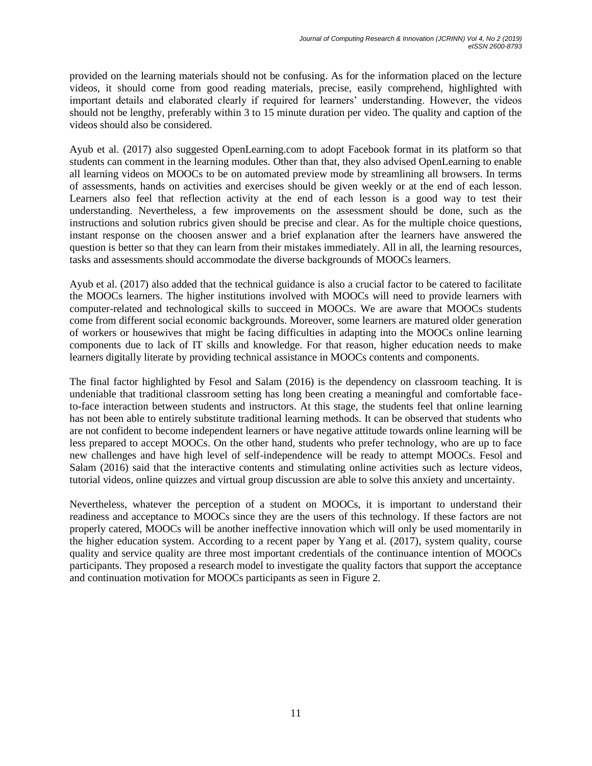provided on the learning materials should not be confusing. As for the information placed on the lecture videos, it should come from good reading materials, precise, easily comprehend, highlighted with important details and elaborated clearly if required for learners' understanding. However, the videos should not be lengthy, preferably within 3 to 15 minute duration per video. The quality and caption of the videos should also be considered.

Ayub et al. (2017) also suggested OpenLearning.com to adopt Facebook format in its platform so that students can comment in the learning modules. Other than that, they also advised OpenLearning to enable all learning videos on MOOCs to be on automated preview mode by streamlining all browsers. In terms of assessments, hands on activities and exercises should be given weekly or at the end of each lesson. Learners also feel that reflection activity at the end of each lesson is a good way to test their understanding. Nevertheless, a few improvements on the assessment should be done, such as the instructions and solution rubrics given should be precise and clear. As for the multiple choice questions, instant response on the choosen answer and a brief explanation after the learners have answered the question is better so that they can learn from their mistakes immediately. All in all, the learning resources, tasks and assessments should accommodate the diverse backgrounds of MOOCs learners.

Ayub et al. (2017) also added that the technical guidance is also a crucial factor to be catered to facilitate the MOOCs learners. The higher institutions involved with MOOCs will need to provide learners with computer-related and technological skills to succeed in MOOCs. We are aware that MOOCs students come from different social economic backgrounds. Moreover, some learners are matured older generation of workers or housewives that might be facing difficulties in adapting into the MOOCs online learning components due to lack of IT skills and knowledge. For that reason, higher education needs to make learners digitally literate by providing technical assistance in MOOCs contents and components.

The final factor highlighted by Fesol and Salam (2016) is the dependency on classroom teaching. It is undeniable that traditional classroom setting has long been creating a meaningful and comfortable faceto-face interaction between students and instructors. At this stage, the students feel that online learning has not been able to entirely substitute traditional learning methods. It can be observed that students who are not confident to become independent learners or have negative attitude towards online learning will be less prepared to accept MOOCs. On the other hand, students who prefer technology, who are up to face new challenges and have high level of self-independence will be ready to attempt MOOCs. Fesol and Salam (2016) said that the interactive contents and stimulating online activities such as lecture videos, tutorial videos, online quizzes and virtual group discussion are able to solve this anxiety and uncertainty.

Nevertheless, whatever the perception of a student on MOOCs, it is important to understand their readiness and acceptance to MOOCs since they are the users of this technology. If these factors are not properly catered, MOOCs will be another ineffective innovation which will only be used momentarily in the higher education system. According to a recent paper by Yang et al. (2017), system quality, course quality and service quality are three most important credentials of the continuance intention of MOOCs participants. They proposed a research model to investigate the quality factors that support the acceptance and continuation motivation for MOOCs participants as seen in Figure 2.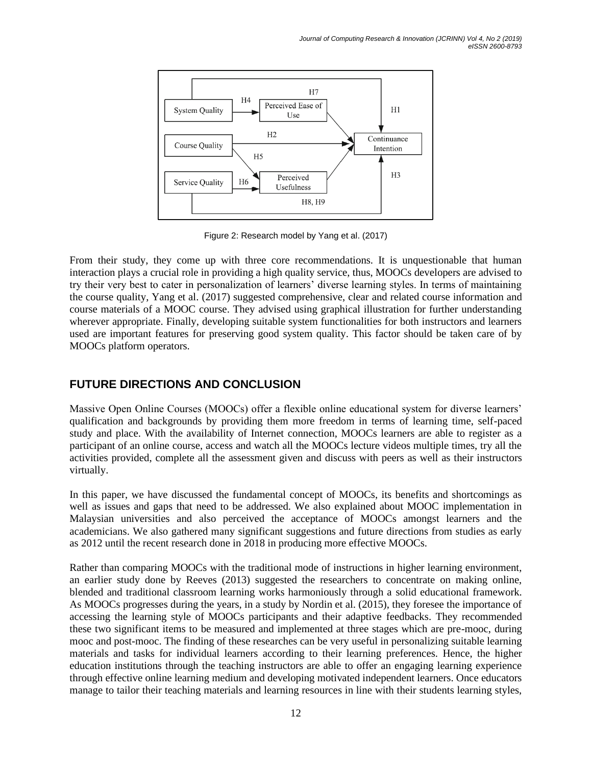

Figure 2: Research model by Yang et al. (2017)

From their study, they come up with three core recommendations. It is unquestionable that human interaction plays a crucial role in providing a high quality service, thus, MOOCs developers are advised to try their very best to cater in personalization of learners' diverse learning styles. In terms of maintaining the course quality, Yang et al. (2017) suggested comprehensive, clear and related course information and course materials of a MOOC course. They advised using graphical illustration for further understanding wherever appropriate. Finally, developing suitable system functionalities for both instructors and learners used are important features for preserving good system quality. This factor should be taken care of by MOOCs platform operators.

## **FUTURE DIRECTIONS AND CONCLUSION**

Massive Open Online Courses (MOOCs) offer a flexible online educational system for diverse learners' qualification and backgrounds by providing them more freedom in terms of learning time, self-paced study and place. With the availability of Internet connection, MOOCs learners are able to register as a participant of an online course, access and watch all the MOOCs lecture videos multiple times, try all the activities provided, complete all the assessment given and discuss with peers as well as their instructors virtually.

In this paper, we have discussed the fundamental concept of MOOCs, its benefits and shortcomings as well as issues and gaps that need to be addressed. We also explained about MOOC implementation in Malaysian universities and also perceived the acceptance of MOOCs amongst learners and the academicians. We also gathered many significant suggestions and future directions from studies as early as 2012 until the recent research done in 2018 in producing more effective MOOCs.

Rather than comparing MOOCs with the traditional mode of instructions in higher learning environment, an earlier study done by Reeves (2013) suggested the researchers to concentrate on making online, blended and traditional classroom learning works harmoniously through a solid educational framework. As MOOCs progresses during the years, in a study by Nordin et al. (2015), they foresee the importance of accessing the learning style of MOOCs participants and their adaptive feedbacks. They recommended these two significant items to be measured and implemented at three stages which are pre-mooc, during mooc and post-mooc. The finding of these researches can be very useful in personalizing suitable learning materials and tasks for individual learners according to their learning preferences. Hence, the higher education institutions through the teaching instructors are able to offer an engaging learning experience through effective online learning medium and developing motivated independent learners. Once educators manage to tailor their teaching materials and learning resources in line with their students learning styles,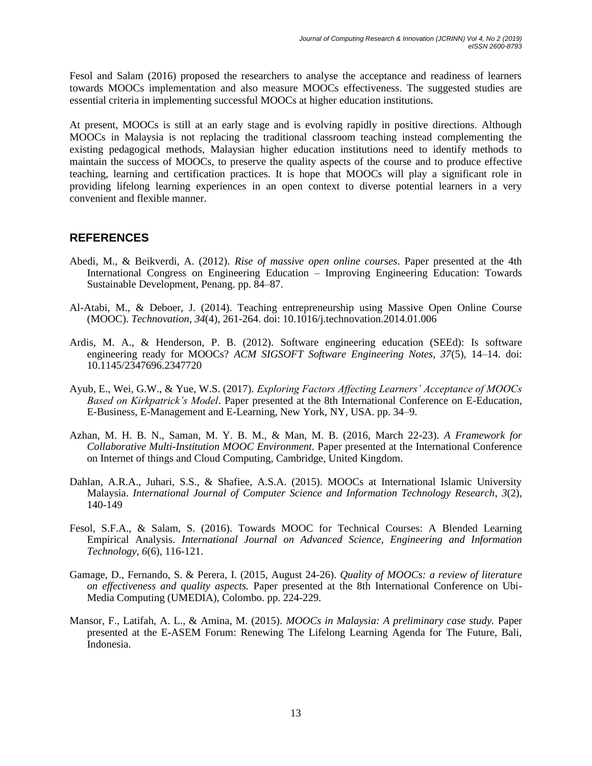Fesol and Salam (2016) proposed the researchers to analyse the acceptance and readiness of learners towards MOOCs implementation and also measure MOOCs effectiveness. The suggested studies are essential criteria in implementing successful MOOCs at higher education institutions.

At present, MOOCs is still at an early stage and is evolving rapidly in positive directions. Although MOOCs in Malaysia is not replacing the traditional classroom teaching instead complementing the existing pedagogical methods, Malaysian higher education institutions need to identify methods to maintain the success of MOOCs, to preserve the quality aspects of the course and to produce effective teaching, learning and certification practices. It is hope that MOOCs will play a significant role in providing lifelong learning experiences in an open context to diverse potential learners in a very convenient and flexible manner.

## **REFERENCES**

- Abedi, M., & Beikverdi, A. (2012). *Rise of massive open online courses*. Paper presented at the 4th International Congress on Engineering Education – Improving Engineering Education: Towards Sustainable Development, Penang. pp. 84–87.
- Al-Atabi, M., & Deboer, J. (2014). Teaching entrepreneurship using Massive Open Online Course (MOOC). *Technovation*, *34*(4), 261-264. doi: 10.1016/j.technovation.2014.01.006
- Ardis, M. A., & Henderson, P. B. (2012). Software engineering education (SEEd): Is software engineering ready for MOOCs? *ACM SIGSOFT Software Engineering Notes, 37*(5), 14–14. doi: 10.1145/2347696.2347720
- Ayub, E., Wei, G.W., & Yue, W.S. (2017). *Exploring Factors Affecting Learners' Acceptance of MOOCs Based on Kirkpatrick's Model*. Paper presented at the 8th International Conference on E-Education, E-Business, E-Management and E-Learning, New York, NY, USA. pp. 34–9.
- Azhan, M. H. B. N., Saman, M. Y. B. M., & Man, M. B. (2016, March 22-23). *A Framework for Collaborative Multi-Institution MOOC Environment.* Paper presented at the International Conference on Internet of things and Cloud Computing, Cambridge, United Kingdom.
- Dahlan, A.R.A., Juhari, S.S., & Shafiee, A.S.A. (2015). MOOCs at International Islamic University Malaysia. *International Journal of Computer Science and Information Technology Research*, *3*(2), 140-149
- Fesol, S.F.A., & Salam, S. (2016). Towards MOOC for Technical Courses: A Blended Learning Empirical Analysis. *International Journal on Advanced Science, Engineering and Information Technology*, *6*(6), 116-121.
- Gamage, D., Fernando, S. & Perera, I. (2015, August 24-26). *Quality of MOOCs: a review of literature on effectiveness and quality aspects.* Paper presented at the 8th International Conference on Ubi-Media Computing (UMEDIA), Colombo. pp. 224-229.
- Mansor, F., Latifah, A. L., & Amina, M. (2015). *MOOCs in Malaysia: A preliminary case study.* Paper presented at the E-ASEM Forum: Renewing The Lifelong Learning Agenda for The Future, Bali, Indonesia.